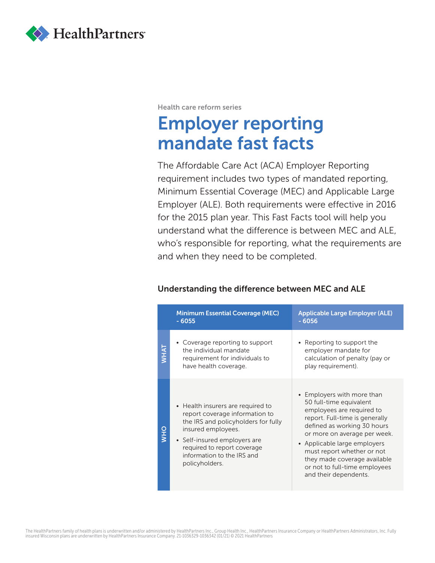

Health care reform series

# Employer reporting mandate fast facts

The Affordable Care Act (ACA) Employer Reporting requirement includes two types of mandated reporting, Minimum Essential Coverage (MEC) and Applicable Large Employer (ALE). Both requirements were effective in 2016 for the 2015 plan year. This Fast Facts tool will help you understand what the difference is between MEC and ALE, who's responsible for reporting, what the requirements are and when they need to be completed.

|             | <b>Minimum Essential Coverage (MEC)</b><br>$-6055$                                                                                                                                                                                              | <b>Applicable Large Employer (ALE)</b><br>$-6056$                                                                                                                                                                                                                                                                                           |
|-------------|-------------------------------------------------------------------------------------------------------------------------------------------------------------------------------------------------------------------------------------------------|---------------------------------------------------------------------------------------------------------------------------------------------------------------------------------------------------------------------------------------------------------------------------------------------------------------------------------------------|
| <b>NHWL</b> | • Coverage reporting to support<br>the individual mandate<br>requirement for individuals to<br>have health coverage.                                                                                                                            | • Reporting to support the<br>employer mandate for<br>calculation of penalty (pay or<br>play requirement).                                                                                                                                                                                                                                  |
| <b>OHN</b>  | • Health insurers are required to<br>report coverage information to<br>the IRS and policyholders for fully<br>insured employees.<br>• Self-insured employers are<br>required to report coverage<br>information to the IRS and<br>policyholders. | • Employers with more than<br>50 full-time equivalent<br>employees are required to<br>report. Full-time is generally<br>defined as working 30 hours<br>or more on average per week.<br>• Applicable large employers<br>must report whether or not<br>they made coverage available<br>or not to full-time employees<br>and their dependents. |

### Understanding the difference between MEC and ALE